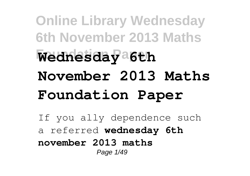**Online Library Wednesday 6th November 2013 Maths Foundation Paper Wednesday 6th November 2013 Maths Foundation Paper**

If you ally dependence such a referred **wednesday 6th november 2013 maths** Page 1/49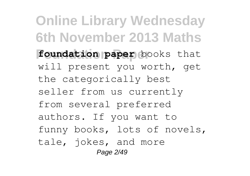**Online Library Wednesday 6th November 2013 Maths Foundation Paper foundation paper** books that will present you worth, get the categorically best seller from us currently from several preferred authors. If you want to funny books, lots of novels, tale, jokes, and more Page 2/49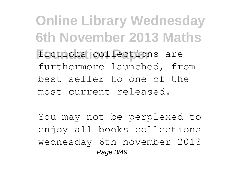**Online Library Wednesday 6th November 2013 Maths** fictions collections are furthermore launched, from best seller to one of the most current released.

You may not be perplexed to enjoy all books collections wednesday 6th november 2013 Page 3/49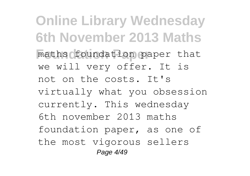**Online Library Wednesday 6th November 2013 Maths Foundation Paper** maths foundation paper that we will very offer. It is not on the costs. It's virtually what you obsession currently. This wednesday 6th november 2013 maths foundation paper, as one of the most vigorous sellers Page 4/49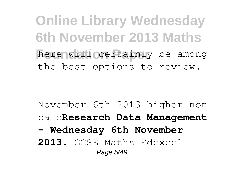**Online Library Wednesday 6th November 2013 Maths** here will certainly be among the best options to review.

November 6th 2013 higher non calc**Research Data Management - Wednesday 6th November 2013.** GCSE Maths Edexcel Page 5/49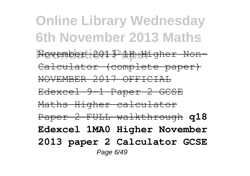**Online Library Wednesday 6th November 2013 Maths Foundation Paper** November 2013 1H Higher Non-Calculator (complete paper) NOVEMBER 2017 OFFICIAL Edexcel 9-1 Paper 2 GCSE Maths Higher calculator Paper 2 FULL walkthrough **q18 Edexcel 1MA0 Higher November 2013 paper 2 Calculator GCSE** Page 6/49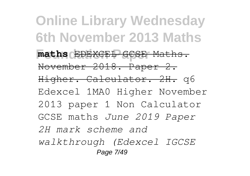**Online Library Wednesday 6th November 2013 Maths Foundation Paper maths** EDEXCEL GCSE Maths. November 2018. Paper 2. Higher. Calculator. 2H. q6 Edexcel 1MA0 Higher November 2013 paper 1 Non Calculator GCSE maths *June 2019 Paper 2H mark scheme and walkthrough (Edexcel IGCSE* Page 7/49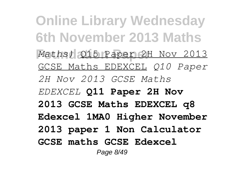**Online Library Wednesday 6th November 2013 Maths Foundation Paper** *Maths)* Q15 Paper 2H Nov 2013 GCSE Maths EDEXCEL *Q10 Paper 2H Nov 2013 GCSE Maths EDEXCEL* **Q11 Paper 2H Nov 2013 GCSE Maths EDEXCEL q8 Edexcel 1MA0 Higher November 2013 paper 1 Non Calculator GCSE maths GCSE Edexcel** Page 8/49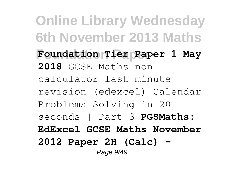**Online Library Wednesday 6th November 2013 Maths Foundation Paper Foundation Tier Paper 1 May 2018** GCSE Maths non calculator last minute revision (edexcel) Calendar Problems Solving in 20 seconds | Part 3 **PGSMaths: EdExcel GCSE Maths November 2012 Paper 2H (Calc) -** Page 9/49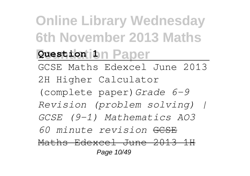**Online Library Wednesday 6th November 2013 Maths Question 1** Daper GCSE Maths Edexcel June 2013 2H Higher Calculator (complete paper)*Grade 6-9 Revision (problem solving) | GCSE (9-1) Mathematics AO3 60 minute revision* GCSE Maths Edexcel June 2013 1H Page 10/49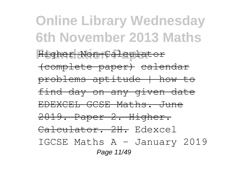## **Online Library Wednesday 6th November 2013 Maths Foundation Paper** Higher Non-Calculator (complete paper) calendar problems aptitude | how to find day on any given date EDEXCEL GCSE Maths. June 2019. Paper 2. Higher. Calculator. 2H. Edexcel IGCSE Maths A - January 2019 Page 11/49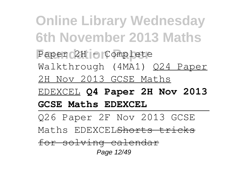**Online Library Wednesday 6th November 2013 Maths** Paper<sub>02H</sub> - Complete Walkthrough (4MA1) Q24 Paper 2H Nov 2013 GCSE Maths EDEXCEL **Q4 Paper 2H Nov 2013 GCSE Maths EDEXCEL** Q26 Paper 2F Nov 2013 GCSE Maths EDEXCEL<del>Shorts tricks</del> for solving calendar Page 12/49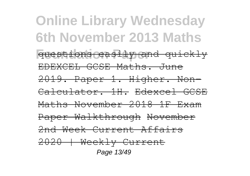**Online Library Wednesday 6th November 2013 Maths Foundations easily and quickly** EDEXCEL GCSE Maths. June 2019. Paper 1. Higher. Non-Calculator. 1H. Edexcel GCSE Maths November 2018 1F Exam Paper Walkthrough November 2nd Week Current Affairs 2020 | Weekly Current Page 13/49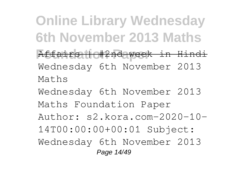**Online Library Wednesday 6th November 2013 Maths Foundation Paper** Affairs | #2nd week in Hindi Wednesday 6th November 2013 Maths

Wednesday 6th November 2013 Maths Foundation Paper Author: s2.kora.com-2020-10- 14T00:00:00+00:01 Subject: Wednesday 6th November 2013 Page 14/49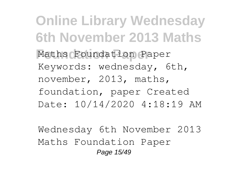**Online Library Wednesday 6th November 2013 Maths Foundation Paper** Maths Foundation Paper Keywords: wednesday, 6th, november, 2013, maths, foundation, paper Created Date: 10/14/2020 4:18:19 AM

Wednesday 6th November 2013 Maths Foundation Paper Page 15/49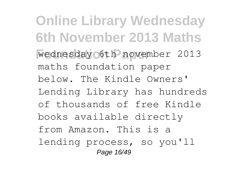**Online Library Wednesday 6th November 2013 Maths Foundation Paper** wednesday 6th november 2013 maths foundation paper below. The Kindle Owners' Lending Library has hundreds of thousands of free Kindle books available directly from Amazon. This is a lending process, so you'll Page 16/49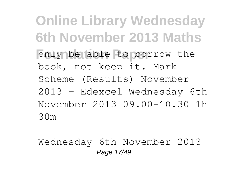**Online Library Wednesday 6th November 2013 Maths** only be able to borrow the book, not keep it. Mark Scheme (Results) November 2013 - Edexcel Wednesday 6th November 2013 09.00-10.30 1h 30m

Wednesday 6th November 2013 Page 17/49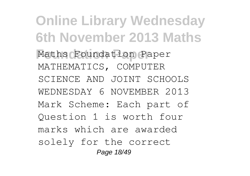**Online Library Wednesday 6th November 2013 Maths Foundation Paper** Maths Foundation Paper MATHEMATICS, COMPUTER SCIENCE AND JOINT SCHOOLS WEDNESDAY 6 NOVEMBER 2013 Mark Scheme: Each part of Question 1 is worth four marks which are awarded solely for the correct Page 18/49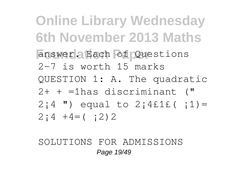**Online Library Wednesday 6th November 2013 Maths Foundation Paper** answer. Each of Questions 2-7 is worth 15 marks QUESTION 1: A. The quadratic 2+ + =1has discriminant (" 2;4 ") equal to  $2;4f1f(1)$  =  $2; 4 + 4 = (2)2$ 

SOLUTIONS FOR ADMISSIONS Page 19/49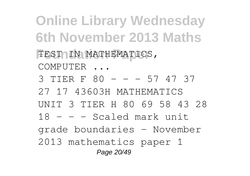**Online Library Wednesday 6th November 2013 Maths FEST IN MATHEMATICS,** COMPUTER ... 3 TIER F 80 - - - 57 47 37 27 17 43603H MATHEMATICS UNIT 3 TIER H 80 69 58 43 28 18 - - - Scaled mark unit grade boundaries - November 2013 mathematics paper 1 Page 20/49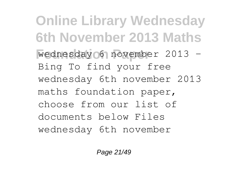**Online Library Wednesday 6th November 2013 Maths Foundation Paper** wednesday 6 november 2013 - Bing To find your free wednesday 6th november 2013 maths foundation paper, choose from our list of documents below Files wednesday 6th november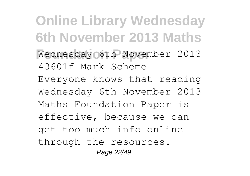**Online Library Wednesday 6th November 2013 Maths Foundation Paper** Wednesday 6th November 2013 43601f Mark Scheme Everyone knows that reading Wednesday 6th November 2013 Maths Foundation Paper is effective, because we can get too much info online through the resources. Page 22/49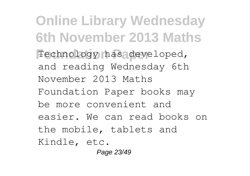**Online Library Wednesday 6th November 2013 Maths** Technology has developed, and reading Wednesday 6th November 2013 Maths Foundation Paper books may be more convenient and easier. We can read books on the mobile, tablets and Kindle, etc. Page 23/49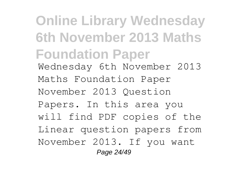**Online Library Wednesday 6th November 2013 Maths Foundation Paper** Wednesday 6th November 2013 Maths Foundation Paper November 2013 Question Papers. In this area you will find PDF copies of the Linear question papers from November 2013. If you want Page 24/49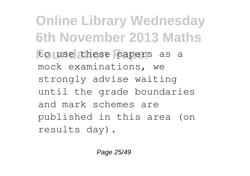**Online Library Wednesday 6th November 2013 Maths** to use these papers as a mock examinations, we strongly advise waiting until the grade boundaries and mark schemes are published in this area (on results day).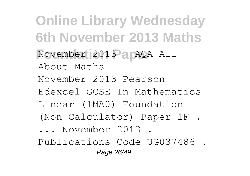**Online Library Wednesday 6th November 2013 Maths Foundation Paper** November 2013 - AQA All About Maths November 2013 Pearson Edexcel GCSE In Mathematics Linear (1MA0) Foundation (Non-Calculator) Paper 1F . ... November 2013 . Publications Code UG037486 . Page 26/49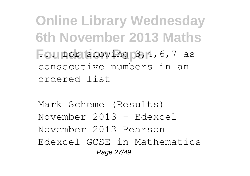**Online Library Wednesday 6th November 2013 Maths Fou for showing 3, 4, 6, 7 as** consecutive numbers in an ordered list

Mark Scheme (Results) November 2013 - Edexcel November 2013 Pearson Edexcel GCSE in Mathematics Page 27/49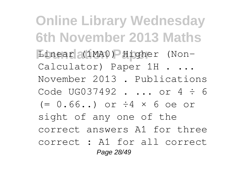**Online Library Wednesday 6th November 2013 Maths Foundation Paper** Linear (1MA0) Higher (Non-Calculator) Paper 1H . ... November 2013 . Publications Code UG037492 . ... or 4 ÷ 6  $(= 0.66...)$  or  $\div 4 \times 6$  oe or sight of any one of the correct answers A1 for three correct : A1 for all correct Page 28/49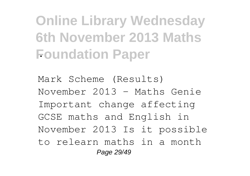**Online Library Wednesday 6th November 2013 Maths Foundation Paper** .

Mark Scheme (Results) November 2013 - Maths Genie Important change affecting GCSE maths and English in November 2013 Is it possible to relearn maths in a month Page 29/49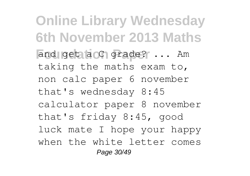**Online Library Wednesday 6th November 2013 Maths** and get a C grade? ... Am taking the maths exam to, non calc paper 6 november that's wednesday 8:45 calculator paper 8 november that's friday 8:45, good luck mate I hope your happy when the white letter comes Page 30/49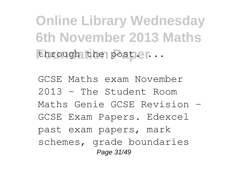**Online Library Wednesday 6th November 2013 Maths** *...* 

GCSE Maths exam November 2013 - The Student Room Maths Genie GCSE Revision - GCSE Exam Papers. Edexcel past exam papers, mark schemes, grade boundaries Page 31/49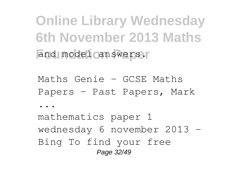**Online Library Wednesday 6th November 2013 Maths** and model canswers.

Maths Genie - GCSE Maths Papers - Past Papers, Mark

...

mathematics paper 1 wednesday 6 november 2013 - Bing To find your free Page 32/49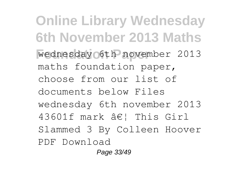**Online Library Wednesday 6th November 2013 Maths Foundation Paper** wednesday 6th november 2013 maths foundation paper, choose from our list of documents below Files wednesday 6th november 2013  $43601f$  mark  $\hat{a} \in \mathcal{C}$  This Girl Slammed 3 By Colleen Hoover PDF Download

Page 33/49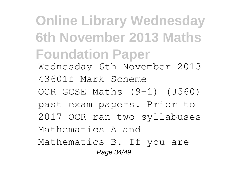**Online Library Wednesday 6th November 2013 Maths Foundation Paper** Wednesday 6th November 2013 43601f Mark Scheme OCR GCSE Maths (9-1) (J560) past exam papers. Prior to 2017 OCR ran two syllabuses Mathematics A and Mathematics B. If you are Page 34/49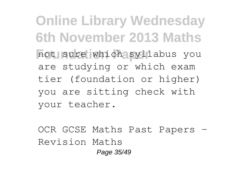**Online Library Wednesday 6th November 2013 Maths** not sure which syllabus you are studying or which exam tier (foundation or higher) you are sitting check with your teacher.

OCR GCSE Maths Past Papers - Revision Maths Page 35/49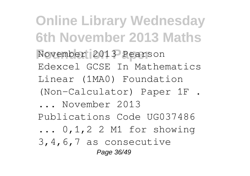**Online Library Wednesday 6th November 2013 Maths Foundation Paper** November 2013 Pearson Edexcel GCSE In Mathematics Linear (1MA0) Foundation (Non-Calculator) Paper 1F . ... November 2013 Publications Code UG037486 ... 0,1,2 2 M1 for showing 3,4,6,7 as consecutive Page 36/49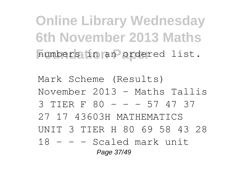**Online Library Wednesday 6th November 2013 Maths** numbers in an ordered list.

Mark Scheme (Results) November 2013 - Maths Tallis 3 TIER F 80 - - - 57 47 37 27 17 43603H MATHEMATICS UNIT 3 TIER H 80 69 58 43 28  $18 - -$  Scaled mark unit Page 37/49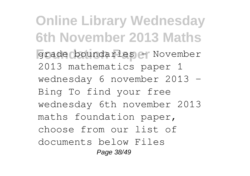**Online Library Wednesday 6th November 2013 Maths Foundation Paper** grade boundaries - November 2013 mathematics paper 1 wednesday 6 november 2013 - Bing To find your free wednesday 6th november 2013 maths foundation paper, choose from our list of documents below Files Page 38/49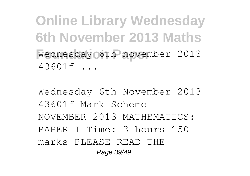**Online Library Wednesday 6th November 2013 Maths Foundation Paper** wednesday 6th november 2013 43601f ...

Wednesday 6th November 2013 43601f Mark Scheme NOVEMBER 2013 MATHEMATICS: PAPER I Time: 3 hours 150 marks PLEASE READ THE Page 39/49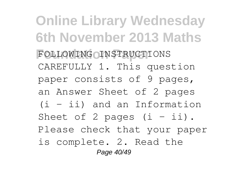**Online Library Wednesday 6th November 2013 Maths Foundation Paper** FOLLOWING INSTRUCTIONS CAREFULLY 1. This question paper consists of 9 pages, an Answer Sheet of 2 pages (i – ii) and an Information Sheet of 2 pages  $(i - ii)$ . Please check that your paper is complete. 2. Read the Page 40/49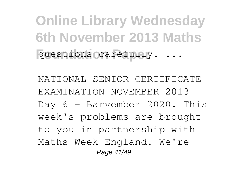**Online Library Wednesday 6th November 2013 Maths** questions carefully. ...

NATIONAL SENIOR CERTIFICATE EXAMINATION NOVEMBER 2013 Day 6 – Barvember 2020. This week's problems are brought to you in partnership with Maths Week England. We're Page 41/49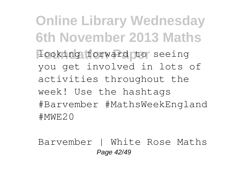**Online Library Wednesday 6th November 2013 Maths Hooking forward to seeing** you get involved in lots of activities throughout the week! Use the hashtags #Barvember #MathsWeekEngland #MWE20

Barvember | White Rose Maths Page 42/49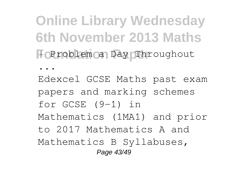**Online Library Wednesday 6th November 2013 Maths Foundation Paper** | Problem a Day Throughout

...

Edexcel GCSE Maths past exam papers and marking schemes for GCSE (9-1) in Mathematics (1MA1) and prior to 2017 Mathematics A and Mathematics B Syllabuses, Page 43/49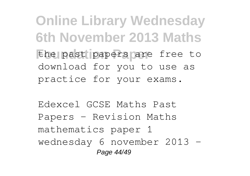**Online Library Wednesday 6th November 2013 Maths** the past papers are free to download for you to use as practice for your exams.

Edexcel GCSE Maths Past Papers - Revision Maths mathematics paper 1 wednesday 6 november 2013 -Page 44/49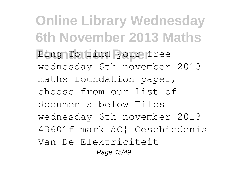**Online Library Wednesday 6th November 2013 Maths Bing To find your free** wednesday 6th november 2013 maths foundation paper, choose from our list of documents below Files wednesday 6th november 2013 43601f mark … Geschiedenis Van De Elektriciteit - Page 45/49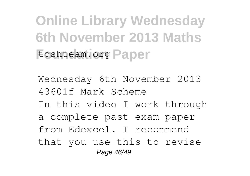**Online Library Wednesday 6th November 2013 Maths** toshteam.org Paper

Wednesday 6th November 2013 43601f Mark Scheme In this video I work through a complete past exam paper from Edexcel. I recommend that you use this to revise Page 46/49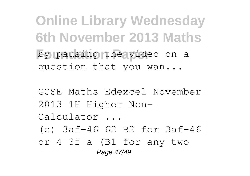**Online Library Wednesday 6th November 2013 Maths** by pausing the video on a question that you wan...

GCSE Maths Edexcel November 2013 1H Higher Non-Calculator ... (c) 3af−46 62 B2 for 3af−46 or 4 3f a (B1 for any two Page 47/49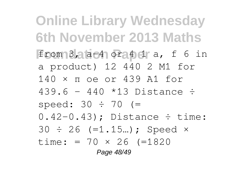**Online Library Wednesday 6th November 2013 Maths Foundation Paper** from 3, a-4 or 4 1 a, f 6 in a product) 12 440 2 M1 for 140 × π oe or 439 A1 for 439.6 – 440 \*13 Distance ÷ speed:  $30 \div 70$  (=  $0.42-0.43$ ; Distance  $\div$  time:  $30 \div 26$  (=1.15...); Speed  $\times$ time: =  $70 \times 26$  (=1820) Page 48/49